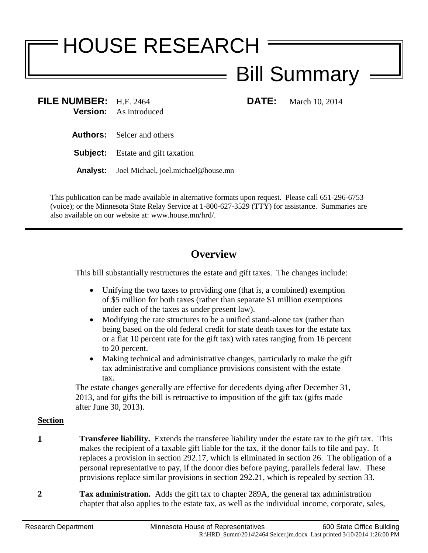# HOUSE RESEARCH Bill Summary

**FILE NUMBER:** H.F. 2464 **DATE:** March 10, 2014 **Version:** As introduced

**Authors:** Selcer and others

**Subject:** Estate and gift taxation

**Analyst:** Joel Michael, joel.michael@house.mn

This publication can be made available in alternative formats upon request. Please call 651-296-6753 (voice); or the Minnesota State Relay Service at 1-800-627-3529 (TTY) for assistance. Summaries are also available on our website at: www.house.mn/hrd/.

# **Overview**

This bill substantially restructures the estate and gift taxes. The changes include:

- Unifying the two taxes to providing one (that is, a combined) exemption of \$5 million for both taxes (rather than separate \$1 million exemptions under each of the taxes as under present law).
- Modifying the rate structures to be a unified stand-alone tax (rather than being based on the old federal credit for state death taxes for the estate tax or a flat 10 percent rate for the gift tax) with rates ranging from 16 percent to 20 percent.
- Making technical and administrative changes, particularly to make the gift tax administrative and compliance provisions consistent with the estate tax.

The estate changes generally are effective for decedents dying after December 31, 2013, and for gifts the bill is retroactive to imposition of the gift tax (gifts made after June 30, 2013).

#### **Section**

- <span id="page-0-0"></span>**1 Transferee liability.** Extends the transferee liability under the estate tax to the gift tax. This makes the recipient of a taxable gift liable for the tax, if the donor fails to file and pay. It replaces a provision in section 292.17, which is eliminated in section [26.](#page-4-0) The obligation of a personal representative to pay, if the donor dies before paying, parallels federal law. These provisions replace similar provisions in section 292.21, which is repealed by section [33.](#page-5-0)
- **2 Tax administration.** Adds the gift tax to chapter 289A, the general tax administration chapter that also applies to the estate tax, as well as the individual income, corporate, sales,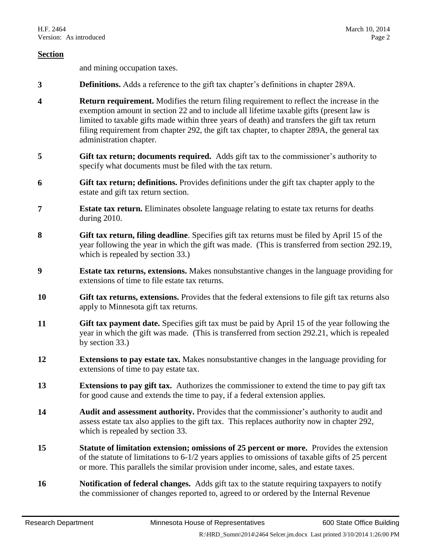and mining occupation taxes.

- **3 Definitions.** Adds a reference to the gift tax chapter's definitions in chapter 289A.
- **4 Return requirement.** Modifies the return filing requirement to reflect the increase in the exemption amount in section [22](#page-2-0) and to include all lifetime taxable gifts (present law is limited to taxable gifts made within three years of death) and transfers the gift tax return filing requirement from chapter 292, the gift tax chapter, to chapter 289A, the general tax administration chapter.
- <span id="page-1-1"></span>**5 Gift tax return; documents required.** Adds gift tax to the commissioner's authority to specify what documents must be filed with the tax return.
- **6 Gift tax return; definitions.** Provides definitions under the gift tax chapter apply to the estate and gift tax return section.
- **7 Estate tax return.** Eliminates obsolete language relating to estate tax returns for deaths during 2010.
- <span id="page-1-0"></span>**8 Gift tax return, filing deadline**. Specifies gift tax returns must be filed by April 15 of the year following the year in which the gift was made. (This is transferred from section 292.19, which is repealed by section [33.](#page-5-0))
- **9 Estate tax returns, extensions.** Makes nonsubstantive changes in the language providing for extensions of time to file estate tax returns.
- <span id="page-1-2"></span>**10 Gift tax returns, extensions.** Provides that the federal extensions to file gift tax returns also apply to Minnesota gift tax returns.
- **11 Gift tax payment date.** Specifies gift tax must be paid by April 15 of the year following the year in which the gift was made. (This is transferred from section 292.21, which is repealed by section [33.](#page-5-0))
- **12 Extensions to pay estate tax.** Makes nonsubstantive changes in the language providing for extensions of time to pay estate tax.
- **13 Extensions to pay gift tax.** Authorizes the commissioner to extend the time to pay gift tax for good cause and extends the time to pay, if a federal extension applies.
- **14 Audit and assessment authority.** Provides that the commissioner's authority to audit and assess estate tax also applies to the gift tax. This replaces authority now in chapter 292, which is repealed by section [33.](#page-5-0)
- **15 Statute of limitation extension; omissions of 25 percent or more.** Provides the extension of the statute of limitations to 6-1/2 years applies to omissions of taxable gifts of 25 percent or more. This parallels the similar provision under income, sales, and estate taxes.
- **16 Notification of federal changes.** Adds gift tax to the statute requiring taxpayers to notify the commissioner of changes reported to, agreed to or ordered by the Internal Revenue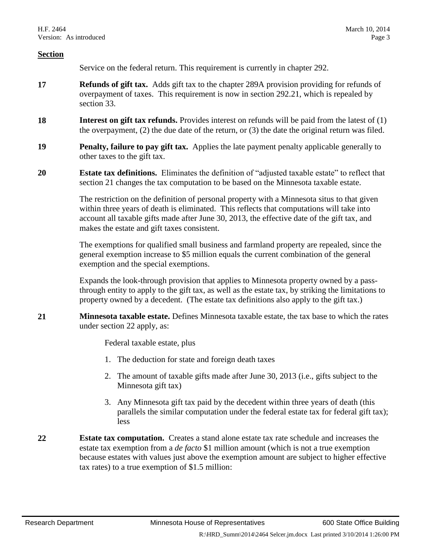Service on the federal return. This requirement is currently in chapter 292.

- **17 Refunds of gift tax.** Adds gift tax to the chapter 289A provision providing for refunds of overpayment of taxes. This requirement is now in section 292.21, which is repealed by section [33.](#page-5-0)
- **18 Interest on gift tax refunds.** Provides interest on refunds will be paid from the latest of (1) the overpayment, (2) the due date of the return, or (3) the date the original return was filed.
- **19 Penalty, failure to pay gift tax.** Applies the late payment penalty applicable generally to other taxes to the gift tax.
- **20 Estate tax definitions.** Eliminates the definition of "adjusted taxable estate" to reflect that section [21](#page-2-1) changes the tax computation to be based on the Minnesota taxable estate.

The restriction on the definition of personal property with a Minnesota situs to that given within three years of death is eliminated. This reflects that computations will take into account all taxable gifts made after June 30, 2013, the effective date of the gift tax, and makes the estate and gift taxes consistent.

The exemptions for qualified small business and farmland property are repealed, since the general exemption increase to \$5 million equals the current combination of the general exemption and the special exemptions.

Expands the look-through provision that applies to Minnesota property owned by a passthrough entity to apply to the gift tax, as well as the estate tax, by striking the limitations to property owned by a decedent. (The estate tax definitions also apply to the gift tax.)

<span id="page-2-1"></span>**21 Minnesota taxable estate.** Defines Minnesota taxable estate, the tax base to which the rates under section [22](#page-2-0) apply, as:

Federal taxable estate, plus

- 1. The deduction for state and foreign death taxes
- 2. The amount of taxable gifts made after June 30, 2013 (i.e., gifts subject to the Minnesota gift tax)
- 3. Any Minnesota gift tax paid by the decedent within three years of death (this parallels the similar computation under the federal estate tax for federal gift tax); less
- <span id="page-2-0"></span>**22 Estate tax computation.** Creates a stand alone estate tax rate schedule and increases the estate tax exemption from a *de facto* \$1 million amount (which is not a true exemption because estates with values just above the exemption amount are subject to higher effective tax rates) to a true exemption of \$1.5 million: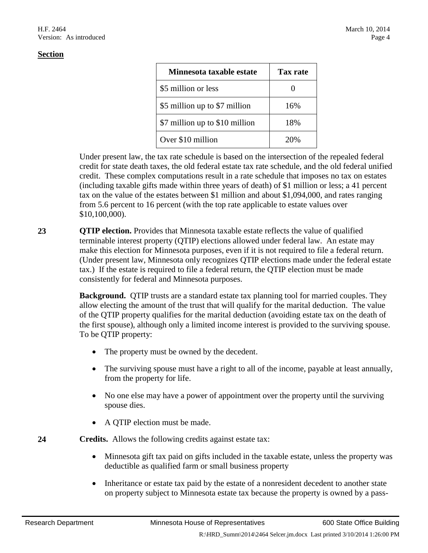| Minnesota taxable estate       | <b>Tax rate</b> |
|--------------------------------|-----------------|
| \$5 million or less            |                 |
| \$5 million up to \$7 million  | 16%             |
| \$7 million up to \$10 million | 18%             |
| Over \$10 million              | 20%             |

Under present law, the tax rate schedule is based on the intersection of the repealed federal credit for state death taxes, the old federal estate tax rate schedule, and the old federal unified credit. These complex computations result in a rate schedule that imposes no tax on estates (including taxable gifts made within three years of death) of \$1 million or less; a 41 percent tax on the value of the estates between \$1 million and about \$1,094,000, and rates ranging from 5.6 percent to 16 percent (with the top rate applicable to estate values over \$10,100,000).

<span id="page-3-0"></span>**23 QTIP election.** Provides that Minnesota taxable estate reflects the value of qualified terminable interest property (QTIP) elections allowed under federal law. An estate may make this election for Minnesota purposes, even if it is not required to file a federal return. (Under present law, Minnesota only recognizes QTIP elections made under the federal estate tax.) If the estate is required to file a federal return, the QTIP election must be made consistently for federal and Minnesota purposes.

> **Background.** QTIP trusts are a standard estate tax planning tool for married couples. They allow electing the amount of the trust that will qualify for the marital deduction. The value of the QTIP property qualifies for the marital deduction (avoiding estate tax on the death of the first spouse), although only a limited income interest is provided to the surviving spouse. To be QTIP property:

- The property must be owned by the decedent.
- The surviving spouse must have a right to all of the income, payable at least annually, from the property for life.
- No one else may have a power of appointment over the property until the surviving spouse dies.
- A QTIP election must be made.
- <span id="page-3-1"></span>**24 Credits.** Allows the following credits against estate tax:
	- Minnesota gift tax paid on gifts included in the taxable estate, unless the property was deductible as qualified farm or small business property
	- Inheritance or estate tax paid by the estate of a nonresident decedent to another state on property subject to Minnesota estate tax because the property is owned by a pass-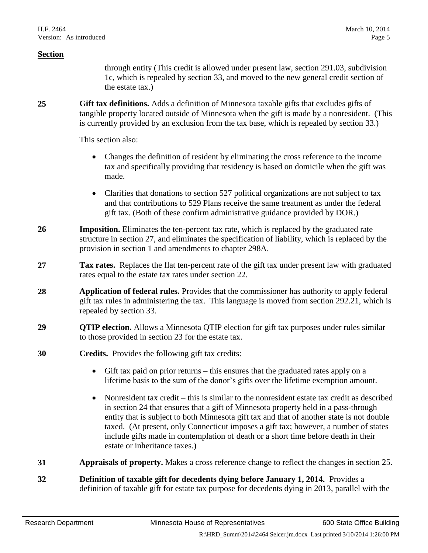through entity (This credit is allowed under present law, section 291.03, subdivision 1c, which is repealed by section [33,](#page-5-0) and moved to the new general credit section of the estate tax.)

<span id="page-4-2"></span>**25 Gift tax definitions.** Adds a definition of Minnesota taxable gifts that excludes gifts of tangible property located outside of Minnesota when the gift is made by a nonresident. (This is currently provided by an exclusion from the tax base, which is repealed by section [33.](#page-5-0))

This section also:

- Changes the definition of resident by eliminating the cross reference to the income tax and specifically providing that residency is based on domicile when the gift was made.
- Clarifies that donations to section 527 political organizations are not subject to tax and that contributions to 529 Plans receive the same treatment as under the federal gift tax. (Both of these confirm administrative guidance provided by DOR.)
- <span id="page-4-0"></span>**26 Imposition.** Eliminates the ten-percent tax rate, which is replaced by the graduated rate structure in section [27,](#page-4-1) and eliminates the specification of liability, which is replaced by the provision in section [1](#page-0-0) and amendments to chapter 298A.
- <span id="page-4-1"></span>**27 Tax rates.** Replaces the flat ten-percent rate of the gift tax under present law with graduated rates equal to the estate tax rates under section [22.](#page-2-0)
- **28 Application of federal rules.** Provides that the commissioner has authority to apply federal gift tax rules in administering the tax. This language is moved from section 292.21, which is repealed by section [33.](#page-5-0)
- **29 QTIP election.** Allows a Minnesota QTIP election for gift tax purposes under rules similar to those provided in section [23](#page-3-0) for the estate tax.
- <span id="page-4-3"></span>**30 Credits.** Provides the following gift tax credits:
	- Gift tax paid on prior returns this ensures that the graduated rates apply on a lifetime basis to the sum of the donor's gifts over the lifetime exemption amount.
	- Nonresident tax credit this is similar to the nonresident estate tax credit as described in section [24](#page-3-1) that ensures that a gift of Minnesota property held in a pass-through entity that is subject to both Minnesota gift tax and that of another state is not double taxed. (At present, only Connecticut imposes a gift tax; however, a number of states include gifts made in contemplation of death or a short time before death in their estate or inheritance taxes.)
- **31 Appraisals of property.** Makes a cross reference change to reflect the changes in section [25.](#page-4-2)
- **32 Definition of taxable gift for decedents dying before January 1, 2014.** Provides a definition of taxable gift for estate tax purpose for decedents dying in 2013, parallel with the